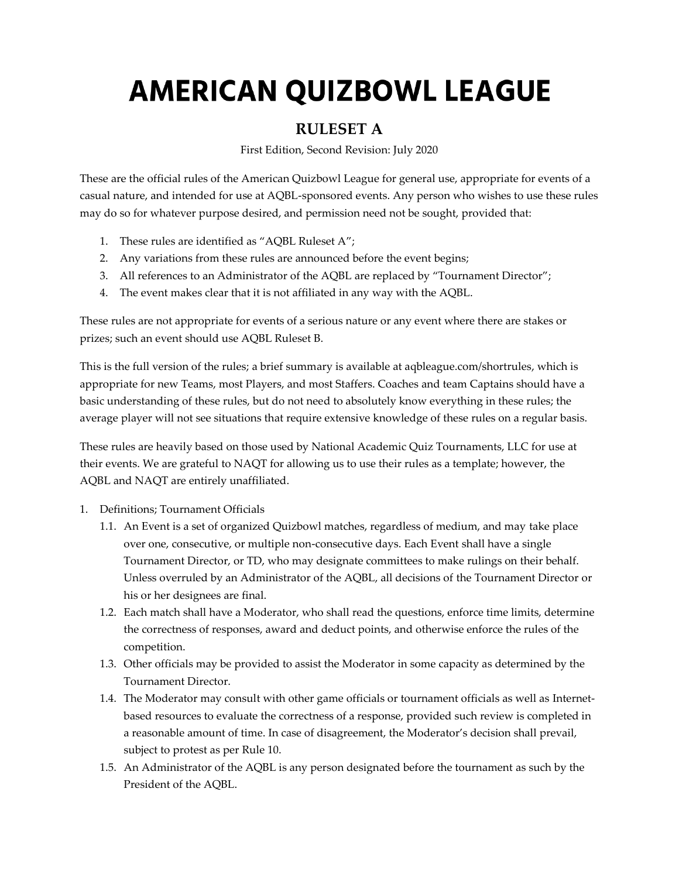## **AMERICAN QUIZBOWL LEAGUE**

## **RULESET A**

First Edition, Second Revision: July 2020

These are the official rules of the American Quizbowl League for general use, appropriate for events of a casual nature, and intended for use at AQBL-sponsored events. Any person who wishes to use these rules may do so for whatever purpose desired, and permission need not be sought, provided that:

- 1. These rules are identified as "AQBL Ruleset A";
- 2. Any variations from these rules are announced before the event begins;
- 3. All references to an Administrator of the AQBL are replaced by "Tournament Director";
- 4. The event makes clear that it is not affiliated in any way with the AQBL.

These rules are not appropriate for events of a serious nature or any event where there are stakes or prizes; such an event should use AQBL Ruleset B.

This is the full version of the rules; a brief summary is available at aqbleague.com/shortrules, which is appropriate for new Teams, most Players, and most Staffers. Coaches and team Captains should have a basic understanding of these rules, but do not need to absolutely know everything in these rules; the average player will not see situations that require extensive knowledge of these rules on a regular basis.

These rules are heavily based on those used by National Academic Quiz Tournaments, LLC for use at their events. We are grateful to NAQT for allowing us to use their rules as a template; however, the AQBL and NAQT are entirely unaffiliated.

- 1. Definitions; Tournament Officials
	- 1.1. An Event is a set of organized Quizbowl matches, regardless of medium, and may take place over one, consecutive, or multiple non-consecutive days. Each Event shall have a single Tournament Director, or TD, who may designate committees to make rulings on their behalf. Unless overruled by an Administrator of the AQBL, all decisions of the Tournament Director or his or her designees are final.
	- 1.2. Each match shall have a Moderator, who shall read the questions, enforce time limits, determine the correctness of responses, award and deduct points, and otherwise enforce the rules of the competition.
	- 1.3. Other officials may be provided to assist the Moderator in some capacity as determined by the Tournament Director.
	- 1.4. The Moderator may consult with other game officials or tournament officials as well as Internetbased resources to evaluate the correctness of a response, provided such review is completed in a reasonable amount of time. In case of disagreement, the Moderator's decision shall prevail, subject to protest as per Rule 10.
	- 1.5. An Administrator of the AQBL is any person designated before the tournament as such by the President of the AQBL.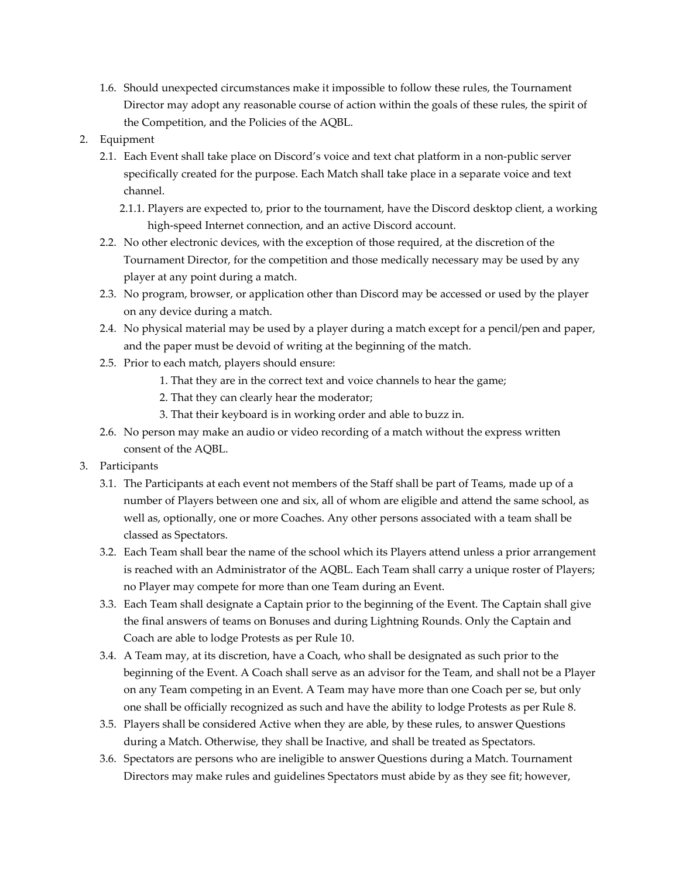- 1.6. Should unexpected circumstances make it impossible to follow these rules, the Tournament Director may adopt any reasonable course of action within the goals of these rules, the spirit of the Competition, and the Policies of the AQBL.
- 2. Equipment
	- 2.1. Each Event shall take place on Discord's voice and text chat platform in a non-public server specifically created for the purpose. Each Match shall take place in a separate voice and text channel.
		- 2.1.1. Players are expected to, prior to the tournament, have the Discord desktop client, a working high-speed Internet connection, and an active Discord account.
	- 2.2. No other electronic devices, with the exception of those required, at the discretion of the Tournament Director, for the competition and those medically necessary may be used by any player at any point during a match.
	- 2.3. No program, browser, or application other than Discord may be accessed or used by the player on any device during a match.
	- 2.4. No physical material may be used by a player during a match except for a pencil/pen and paper, and the paper must be devoid of writing at the beginning of the match.
	- 2.5. Prior to each match, players should ensure:
		- 1. That they are in the correct text and voice channels to hear the game;
		- 2. That they can clearly hear the moderator;
		- 3. That their keyboard is in working order and able to buzz in.
	- 2.6. No person may make an audio or video recording of a match without the express written consent of the AQBL.
- 3. Participants
	- 3.1. The Participants at each event not members of the Staff shall be part of Teams, made up of a number of Players between one and six, all of whom are eligible and attend the same school, as well as, optionally, one or more Coaches. Any other persons associated with a team shall be classed as Spectators.
	- 3.2. Each Team shall bear the name of the school which its Players attend unless a prior arrangement is reached with an Administrator of the AQBL. Each Team shall carry a unique roster of Players; no Player may compete for more than one Team during an Event.
	- 3.3. Each Team shall designate a Captain prior to the beginning of the Event. The Captain shall give the final answers of teams on Bonuses and during Lightning Rounds. Only the Captain and Coach are able to lodge Protests as per Rule 10.
	- 3.4. A Team may, at its discretion, have a Coach, who shall be designated as such prior to the beginning of the Event. A Coach shall serve as an advisor for the Team, and shall not be a Player on any Team competing in an Event. A Team may have more than one Coach per se, but only one shall be officially recognized as such and have the ability to lodge Protests as per Rule 8.
	- 3.5. Players shall be considered Active when they are able, by these rules, to answer Questions during a Match. Otherwise, they shall be Inactive, and shall be treated as Spectators.
	- 3.6. Spectators are persons who are ineligible to answer Questions during a Match. Tournament Directors may make rules and guidelines Spectators must abide by as they see fit; however,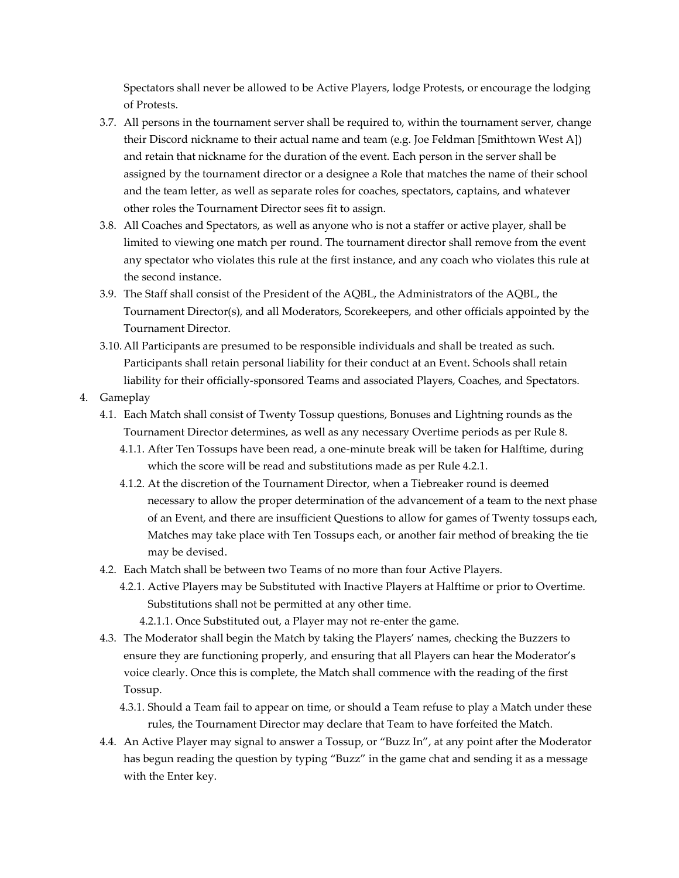Spectators shall never be allowed to be Active Players, lodge Protests, or encourage the lodging of Protests.

- 3.7. All persons in the tournament server shall be required to, within the tournament server, change their Discord nickname to their actual name and team (e.g. Joe Feldman [Smithtown West A]) and retain that nickname for the duration of the event. Each person in the server shall be assigned by the tournament director or a designee a Role that matches the name of their school and the team letter, as well as separate roles for coaches, spectators, captains, and whatever other roles the Tournament Director sees fit to assign.
- 3.8. All Coaches and Spectators, as well as anyone who is not a staffer or active player, shall be limited to viewing one match per round. The tournament director shall remove from the event any spectator who violates this rule at the first instance, and any coach who violates this rule at the second instance.
- 3.9. The Staff shall consist of the President of the AQBL, the Administrators of the AQBL, the Tournament Director(s), and all Moderators, Scorekeepers, and other officials appointed by the Tournament Director.
- 3.10.All Participants are presumed to be responsible individuals and shall be treated as such. Participants shall retain personal liability for their conduct at an Event. Schools shall retain liability for their officially-sponsored Teams and associated Players, Coaches, and Spectators.
- 4. Gameplay
	- 4.1. Each Match shall consist of Twenty Tossup questions, Bonuses and Lightning rounds as the Tournament Director determines, as well as any necessary Overtime periods as per Rule 8.
		- 4.1.1. After Ten Tossups have been read, a one-minute break will be taken for Halftime, during which the score will be read and substitutions made as per Rule 4.2.1.
		- 4.1.2. At the discretion of the Tournament Director, when a Tiebreaker round is deemed necessary to allow the proper determination of the advancement of a team to the next phase of an Event, and there are insufficient Questions to allow for games of Twenty tossups each, Matches may take place with Ten Tossups each, or another fair method of breaking the tie may be devised.
	- 4.2. Each Match shall be between two Teams of no more than four Active Players.
		- 4.2.1. Active Players may be Substituted with Inactive Players at Halftime or prior to Overtime. Substitutions shall not be permitted at any other time.
			- 4.2.1.1. Once Substituted out, a Player may not re-enter the game.
	- 4.3. The Moderator shall begin the Match by taking the Players' names, checking the Buzzers to ensure they are functioning properly, and ensuring that all Players can hear the Moderator's voice clearly. Once this is complete, the Match shall commence with the reading of the first Tossup.
		- 4.3.1. Should a Team fail to appear on time, or should a Team refuse to play a Match under these rules, the Tournament Director may declare that Team to have forfeited the Match.
	- 4.4. An Active Player may signal to answer a Tossup, or "Buzz In", at any point after the Moderator has begun reading the question by typing "Buzz" in the game chat and sending it as a message with the Enter key.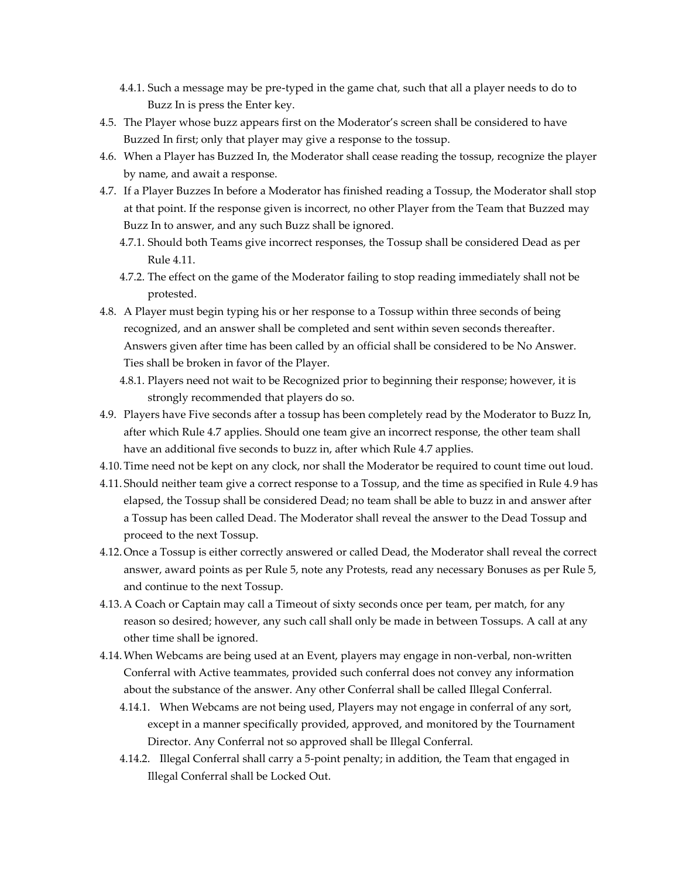- 4.4.1. Such a message may be pre-typed in the game chat, such that all a player needs to do to Buzz In is press the Enter key.
- 4.5. The Player whose buzz appears first on the Moderator's screen shall be considered to have Buzzed In first; only that player may give a response to the tossup.
- 4.6. When a Player has Buzzed In, the Moderator shall cease reading the tossup, recognize the player by name, and await a response.
- 4.7. If a Player Buzzes In before a Moderator has finished reading a Tossup, the Moderator shall stop at that point. If the response given is incorrect, no other Player from the Team that Buzzed may Buzz In to answer, and any such Buzz shall be ignored.
	- 4.7.1. Should both Teams give incorrect responses, the Tossup shall be considered Dead as per Rule 4.11.
	- 4.7.2. The effect on the game of the Moderator failing to stop reading immediately shall not be protested.
- 4.8. A Player must begin typing his or her response to a Tossup within three seconds of being recognized, and an answer shall be completed and sent within seven seconds thereafter. Answers given after time has been called by an official shall be considered to be No Answer. Ties shall be broken in favor of the Player.
	- 4.8.1. Players need not wait to be Recognized prior to beginning their response; however, it is strongly recommended that players do so.
- 4.9. Players have Five seconds after a tossup has been completely read by the Moderator to Buzz In, after which Rule 4.7 applies. Should one team give an incorrect response, the other team shall have an additional five seconds to buzz in, after which Rule 4.7 applies.
- 4.10.Time need not be kept on any clock, nor shall the Moderator be required to count time out loud.
- 4.11. Should neither team give a correct response to a Tossup, and the time as specified in Rule 4.9 has elapsed, the Tossup shall be considered Dead; no team shall be able to buzz in and answer after a Tossup has been called Dead. The Moderator shall reveal the answer to the Dead Tossup and proceed to the next Tossup.
- 4.12.Once a Tossup is either correctly answered or called Dead, the Moderator shall reveal the correct answer, award points as per Rule 5, note any Protests, read any necessary Bonuses as per Rule 5, and continue to the next Tossup.
- 4.13.A Coach or Captain may call a Timeout of sixty seconds once per team, per match, for any reason so desired; however, any such call shall only be made in between Tossups. A call at any other time shall be ignored.
- 4.14.When Webcams are being used at an Event, players may engage in non-verbal, non-written Conferral with Active teammates, provided such conferral does not convey any information about the substance of the answer. Any other Conferral shall be called Illegal Conferral.
	- 4.14.1. When Webcams are not being used, Players may not engage in conferral of any sort, except in a manner specifically provided, approved, and monitored by the Tournament Director. Any Conferral not so approved shall be Illegal Conferral.
	- 4.14.2. Illegal Conferral shall carry a 5-point penalty; in addition, the Team that engaged in Illegal Conferral shall be Locked Out.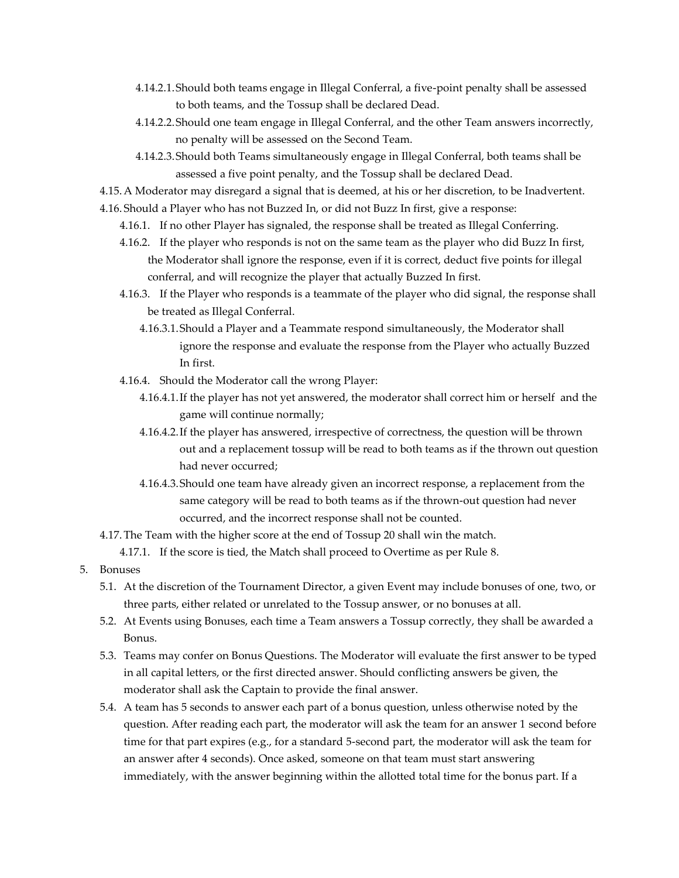- 4.14.2.1.Should both teams engage in Illegal Conferral, a five-point penalty shall be assessed to both teams, and the Tossup shall be declared Dead.
- 4.14.2.2.Should one team engage in Illegal Conferral, and the other Team answers incorrectly, no penalty will be assessed on the Second Team.
- 4.14.2.3.Should both Teams simultaneously engage in Illegal Conferral, both teams shall be assessed a five point penalty, and the Tossup shall be declared Dead.
- 4.15.A Moderator may disregard a signal that is deemed, at his or her discretion, to be Inadvertent.
- 4.16. Should a Player who has not Buzzed In, or did not Buzz In first, give a response:
	- 4.16.1. If no other Player has signaled, the response shall be treated as Illegal Conferring.
	- 4.16.2. If the player who responds is not on the same team as the player who did Buzz In first, the Moderator shall ignore the response, even if it is correct, deduct five points for illegal conferral, and will recognize the player that actually Buzzed In first.
	- 4.16.3. If the Player who responds is a teammate of the player who did signal, the response shall be treated as Illegal Conferral.
		- 4.16.3.1.Should a Player and a Teammate respond simultaneously, the Moderator shall ignore the response and evaluate the response from the Player who actually Buzzed In first.
	- 4.16.4. Should the Moderator call the wrong Player:
		- 4.16.4.1.If the player has not yet answered, the moderator shall correct him or herself and the game will continue normally;
		- 4.16.4.2.If the player has answered, irrespective of correctness, the question will be thrown out and a replacement tossup will be read to both teams as if the thrown out question had never occurred;
		- 4.16.4.3.Should one team have already given an incorrect response, a replacement from the same category will be read to both teams as if the thrown-out question had never occurred, and the incorrect response shall not be counted.
- 4.17.The Team with the higher score at the end of Tossup 20 shall win the match.
	- 4.17.1. If the score is tied, the Match shall proceed to Overtime as per Rule 8.
- 5. Bonuses
	- 5.1. At the discretion of the Tournament Director, a given Event may include bonuses of one, two, or three parts, either related or unrelated to the Tossup answer, or no bonuses at all.
	- 5.2. At Events using Bonuses, each time a Team answers a Tossup correctly, they shall be awarded a Bonus.
	- 5.3. Teams may confer on Bonus Questions. The Moderator will evaluate the first answer to be typed in all capital letters, or the first directed answer. Should conflicting answers be given, the moderator shall ask the Captain to provide the final answer.
	- 5.4. A team has 5 seconds to answer each part of a bonus question, unless otherwise noted by the question. After reading each part, the moderator will ask the team for an answer 1 second before time for that part expires (e.g., for a standard 5-second part, the moderator will ask the team for an answer after 4 seconds). Once asked, someone on that team must start answering immediately, with the answer beginning within the allotted total time for the bonus part. If a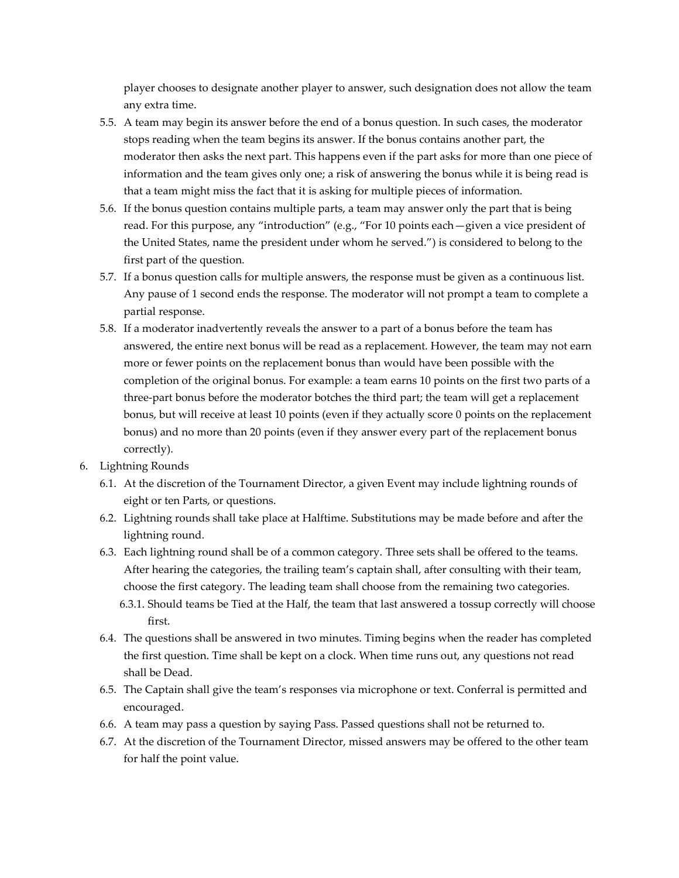player chooses to designate another player to answer, such designation does not allow the team any extra time.

- 5.5. A team may begin its answer before the end of a bonus question. In such cases, the moderator stops reading when the team begins its answer. If the bonus contains another part, the moderator then asks the next part. This happens even if the part asks for more than one piece of information and the team gives only one; a risk of answering the bonus while it is being read is that a team might miss the fact that it is asking for multiple pieces of information.
- 5.6. If the bonus question contains multiple parts, a team may answer only the part that is being read. For this purpose, any "introduction" (e.g., "For 10 points each—given a vice president of the United States, name the president under whom he served.") is considered to belong to the first part of the question.
- 5.7. If a bonus question calls for multiple answers, the response must be given as a continuous list. Any pause of 1 second ends the response. The moderator will not prompt a team to complete a partial response.
- 5.8. If a moderator inadvertently reveals the answer to a part of a bonus before the team has answered, the entire next bonus will be read as a replacement. However, the team may not earn more or fewer points on the replacement bonus than would have been possible with the completion of the original bonus. For example: a team earns 10 points on the first two parts of a three-part bonus before the moderator botches the third part; the team will get a replacement bonus, but will receive at least 10 points (even if they actually score 0 points on the replacement bonus) and no more than 20 points (even if they answer every part of the replacement bonus correctly).
- 6. Lightning Rounds
	- 6.1. At the discretion of the Tournament Director, a given Event may include lightning rounds of eight or ten Parts, or questions.
	- 6.2. Lightning rounds shall take place at Halftime. Substitutions may be made before and after the lightning round.
	- 6.3. Each lightning round shall be of a common category. Three sets shall be offered to the teams. After hearing the categories, the trailing team's captain shall, after consulting with their team, choose the first category. The leading team shall choose from the remaining two categories.
		- 6.3.1. Should teams be Tied at the Half, the team that last answered a tossup correctly will choose first.
	- 6.4. The questions shall be answered in two minutes. Timing begins when the reader has completed the first question. Time shall be kept on a clock. When time runs out, any questions not read shall be Dead.
	- 6.5. The Captain shall give the team's responses via microphone or text. Conferral is permitted and encouraged.
	- 6.6. A team may pass a question by saying Pass. Passed questions shall not be returned to.
	- 6.7. At the discretion of the Tournament Director, missed answers may be offered to the other team for half the point value.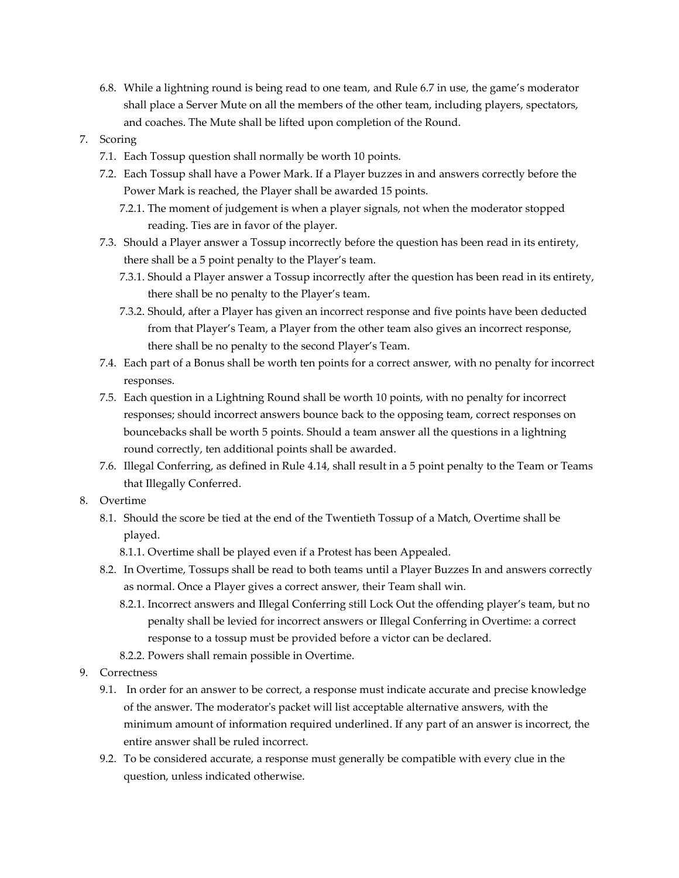- 6.8. While a lightning round is being read to one team, and Rule 6.7 in use, the game's moderator shall place a Server Mute on all the members of the other team, including players, spectators, and coaches. The Mute shall be lifted upon completion of the Round.
- 7. Scoring
	- 7.1. Each Tossup question shall normally be worth 10 points.
	- 7.2. Each Tossup shall have a Power Mark. If a Player buzzes in and answers correctly before the Power Mark is reached, the Player shall be awarded 15 points.
		- 7.2.1. The moment of judgement is when a player signals, not when the moderator stopped reading. Ties are in favor of the player.
	- 7.3. Should a Player answer a Tossup incorrectly before the question has been read in its entirety, there shall be a 5 point penalty to the Player's team.
		- 7.3.1. Should a Player answer a Tossup incorrectly after the question has been read in its entirety, there shall be no penalty to the Player's team.
		- 7.3.2. Should, after a Player has given an incorrect response and five points have been deducted from that Player's Team, a Player from the other team also gives an incorrect response, there shall be no penalty to the second Player's Team.
	- 7.4. Each part of a Bonus shall be worth ten points for a correct answer, with no penalty for incorrect responses.
	- 7.5. Each question in a Lightning Round shall be worth 10 points, with no penalty for incorrect responses; should incorrect answers bounce back to the opposing team, correct responses on bouncebacks shall be worth 5 points. Should a team answer all the questions in a lightning round correctly, ten additional points shall be awarded.
	- 7.6. Illegal Conferring, as defined in Rule 4.14, shall result in a 5 point penalty to the Team or Teams that Illegally Conferred.
- 8. Overtime
	- 8.1. Should the score be tied at the end of the Twentieth Tossup of a Match, Overtime shall be played.
		- 8.1.1. Overtime shall be played even if a Protest has been Appealed.
	- 8.2. In Overtime, Tossups shall be read to both teams until a Player Buzzes In and answers correctly as normal. Once a Player gives a correct answer, their Team shall win.
		- 8.2.1. Incorrect answers and Illegal Conferring still Lock Out the offending player's team, but no penalty shall be levied for incorrect answers or Illegal Conferring in Overtime: a correct response to a tossup must be provided before a victor can be declared.
		- 8.2.2. Powers shall remain possible in Overtime.
- 9. Correctness
	- 9.1. In order for an answer to be correct, a response must indicate accurate and precise knowledge of the answer. The moderator's packet will list acceptable alternative answers, with the minimum amount of information required underlined. If any part of an answer is incorrect, the entire answer shall be ruled incorrect.
	- 9.2. To be considered accurate, a response must generally be compatible with every clue in the question, unless indicated otherwise.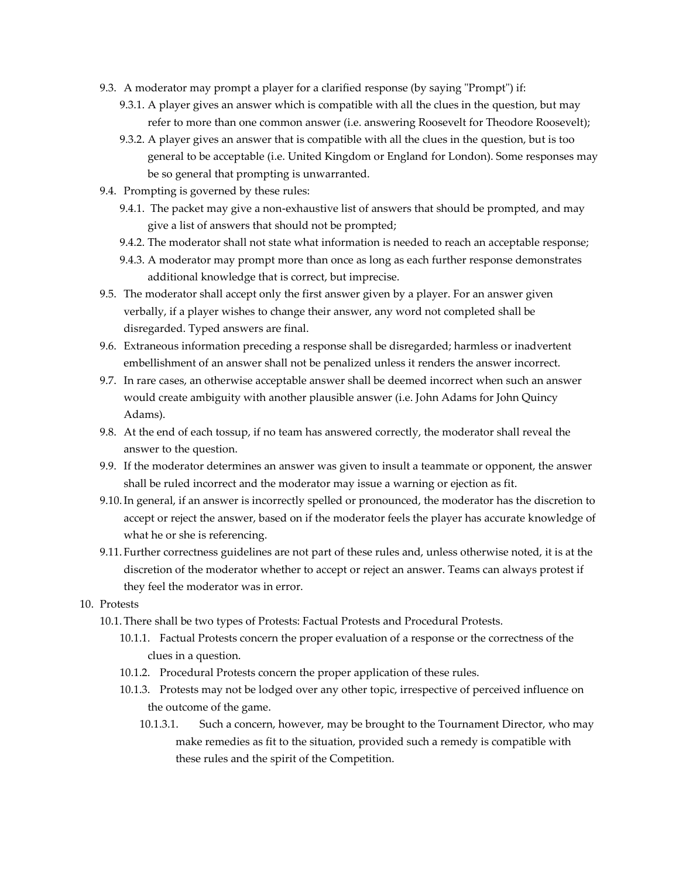- 9.3. A moderator may prompt a player for a clarified response (by saying "Prompt") if:
	- 9.3.1. A player gives an answer which is compatible with all the clues in the question, but may refer to more than one common answer (i.e. answering Roosevelt for Theodore Roosevelt);
	- 9.3.2. A player gives an answer that is compatible with all the clues in the question, but is too general to be acceptable (i.e. United Kingdom or England for London). Some responses may be so general that prompting is unwarranted.
- 9.4. Prompting is governed by these rules:
	- 9.4.1. The packet may give a non-exhaustive list of answers that should be prompted, and may give a list of answers that should not be prompted;
	- 9.4.2. The moderator shall not state what information is needed to reach an acceptable response;
	- 9.4.3. A moderator may prompt more than once as long as each further response demonstrates additional knowledge that is correct, but imprecise.
- 9.5. The moderator shall accept only the first answer given by a player. For an answer given verbally, if a player wishes to change their answer, any word not completed shall be disregarded. Typed answers are final.
- 9.6. Extraneous information preceding a response shall be disregarded; harmless or inadvertent embellishment of an answer shall not be penalized unless it renders the answer incorrect.
- 9.7. In rare cases, an otherwise acceptable answer shall be deemed incorrect when such an answer would create ambiguity with another plausible answer (i.e. John Adams for John Quincy Adams).
- 9.8. At the end of each tossup, if no team has answered correctly, the moderator shall reveal the answer to the question.
- 9.9. If the moderator determines an answer was given to insult a teammate or opponent, the answer shall be ruled incorrect and the moderator may issue a warning or ejection as fit.
- 9.10.In general, if an answer is incorrectly spelled or pronounced, the moderator has the discretion to accept or reject the answer, based on if the moderator feels the player has accurate knowledge of what he or she is referencing.
- 9.11. Further correctness guidelines are not part of these rules and, unless otherwise noted, it is at the discretion of the moderator whether to accept or reject an answer. Teams can always protest if they feel the moderator was in error.
- 10. Protests
	- 10.1.There shall be two types of Protests: Factual Protests and Procedural Protests.
		- 10.1.1. Factual Protests concern the proper evaluation of a response or the correctness of the clues in a question.
		- 10.1.2. Procedural Protests concern the proper application of these rules.
		- 10.1.3. Protests may not be lodged over any other topic, irrespective of perceived influence on the outcome of the game.
			- 10.1.3.1. Such a concern, however, may be brought to the Tournament Director, who may make remedies as fit to the situation, provided such a remedy is compatible with these rules and the spirit of the Competition.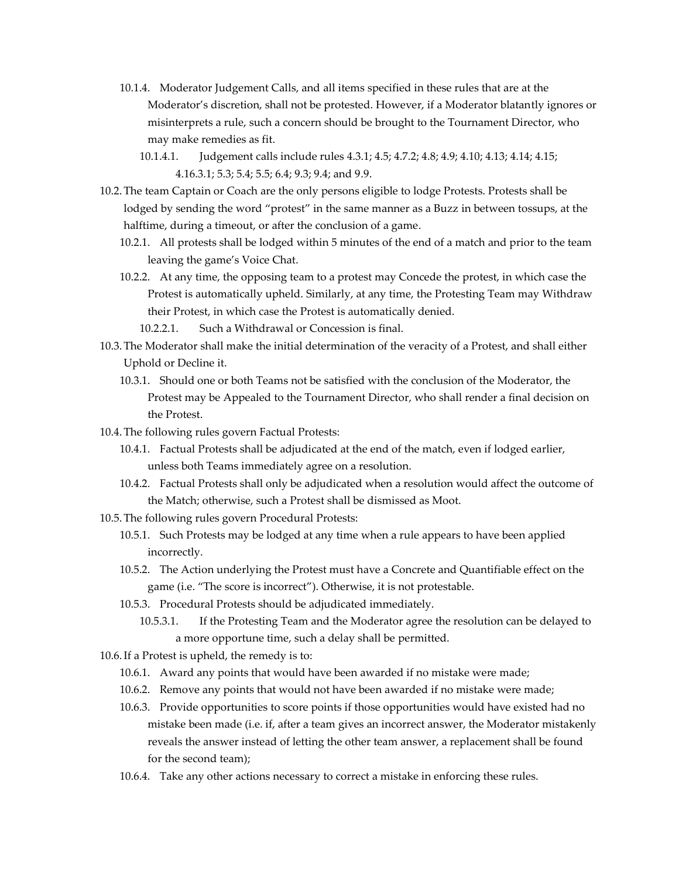- 10.1.4. Moderator Judgement Calls, and all items specified in these rules that are at the Moderator's discretion, shall not be protested. However, if a Moderator blatantly ignores or misinterprets a rule, such a concern should be brought to the Tournament Director, who may make remedies as fit.
	- 10.1.4.1. Judgement calls include rules 4.3.1; 4.5; 4.7.2; 4.8; 4.9; 4.10; 4.13; 4.14; 4.15; 4.16.3.1; 5.3; 5.4; 5.5; 6.4; 9.3; 9.4; and 9.9.
- 10.2.The team Captain or Coach are the only persons eligible to lodge Protests. Protests shall be lodged by sending the word "protest" in the same manner as a Buzz in between tossups, at the halftime, during a timeout, or after the conclusion of a game.
	- 10.2.1. All protests shall be lodged within 5 minutes of the end of a match and prior to the team leaving the game's Voice Chat.
	- 10.2.2. At any time, the opposing team to a protest may Concede the protest, in which case the Protest is automatically upheld. Similarly, at any time, the Protesting Team may Withdraw their Protest, in which case the Protest is automatically denied.
		- 10.2.2.1. Such a Withdrawal or Concession is final.
- 10.3.The Moderator shall make the initial determination of the veracity of a Protest, and shall either Uphold or Decline it.
	- 10.3.1. Should one or both Teams not be satisfied with the conclusion of the Moderator, the Protest may be Appealed to the Tournament Director, who shall render a final decision on the Protest.
- 10.4.The following rules govern Factual Protests:
	- 10.4.1. Factual Protests shall be adjudicated at the end of the match, even if lodged earlier, unless both Teams immediately agree on a resolution.
	- 10.4.2. Factual Protests shall only be adjudicated when a resolution would affect the outcome of the Match; otherwise, such a Protest shall be dismissed as Moot.
- 10.5.The following rules govern Procedural Protests:
	- 10.5.1. Such Protests may be lodged at any time when a rule appears to have been applied incorrectly.
	- 10.5.2. The Action underlying the Protest must have a Concrete and Quantifiable effect on the game (i.e. "The score is incorrect"). Otherwise, it is not protestable.
	- 10.5.3. Procedural Protests should be adjudicated immediately.
		- 10.5.3.1. If the Protesting Team and the Moderator agree the resolution can be delayed to a more opportune time, such a delay shall be permitted.
- 10.6.If a Protest is upheld, the remedy is to:
	- 10.6.1. Award any points that would have been awarded if no mistake were made;
	- 10.6.2. Remove any points that would not have been awarded if no mistake were made;
	- 10.6.3. Provide opportunities to score points if those opportunities would have existed had no mistake been made (i.e. if, after a team gives an incorrect answer, the Moderator mistakenly reveals the answer instead of letting the other team answer, a replacement shall be found for the second team);
	- 10.6.4. Take any other actions necessary to correct a mistake in enforcing these rules.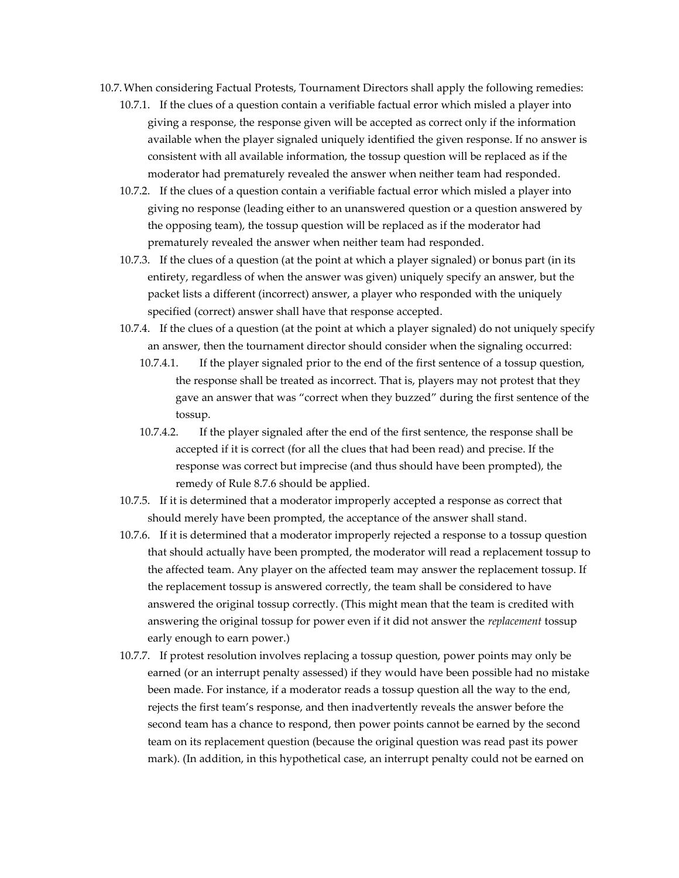- 10.7.When considering Factual Protests, Tournament Directors shall apply the following remedies:
	- 10.7.1. If the clues of a question contain a verifiable factual error which misled a player into giving a response, the response given will be accepted as correct only if the information available when the player signaled uniquely identified the given response. If no answer is consistent with all available information, the tossup question will be replaced as if the moderator had prematurely revealed the answer when neither team had responded.
	- 10.7.2. If the clues of a question contain a verifiable factual error which misled a player into giving no response (leading either to an unanswered question or a question answered by the opposing team), the tossup question will be replaced as if the moderator had prematurely revealed the answer when neither team had responded.
	- 10.7.3. If the clues of a question (at the point at which a player signaled) or bonus part (in its entirety, regardless of when the answer was given) uniquely specify an answer, but the packet lists a different (incorrect) answer, a player who responded with the uniquely specified (correct) answer shall have that response accepted.
	- 10.7.4. If the clues of a question (at the point at which a player signaled) do not uniquely specify an answer, then the tournament director should consider when the signaling occurred:
		- 10.7.4.1. If the player signaled prior to the end of the first sentence of a tossup question, the response shall be treated as incorrect. That is, players may not protest that they gave an answer that was "correct when they buzzed" during the first sentence of the tossup.
		- 10.7.4.2. If the player signaled after the end of the first sentence, the response shall be accepted if it is correct (for all the clues that had been read) and precise. If the response was correct but imprecise (and thus should have been prompted), the remedy of Rule 8.7.6 should be applied.
	- 10.7.5. If it is determined that a moderator improperly accepted a response as correct that should merely have been prompted, the acceptance of the answer shall stand.
	- 10.7.6. If it is determined that a moderator improperly rejected a response to a tossup question that should actually have been prompted, the moderator will read a replacement tossup to the affected team. Any player on the affected team may answer the replacement tossup. If the replacement tossup is answered correctly, the team shall be considered to have answered the original tossup correctly. (This might mean that the team is credited with answering the original tossup for power even if it did not answer the *replacement* tossup early enough to earn power.)
	- 10.7.7. If protest resolution involves replacing a tossup question, power points may only be earned (or an interrupt penalty assessed) if they would have been possible had no mistake been made. For instance, if a moderator reads a tossup question all the way to the end, rejects the first team's response, and then inadvertently reveals the answer before the second team has a chance to respond, then power points cannot be earned by the second team on its replacement question (because the original question was read past its power mark). (In addition, in this hypothetical case, an interrupt penalty could not be earned on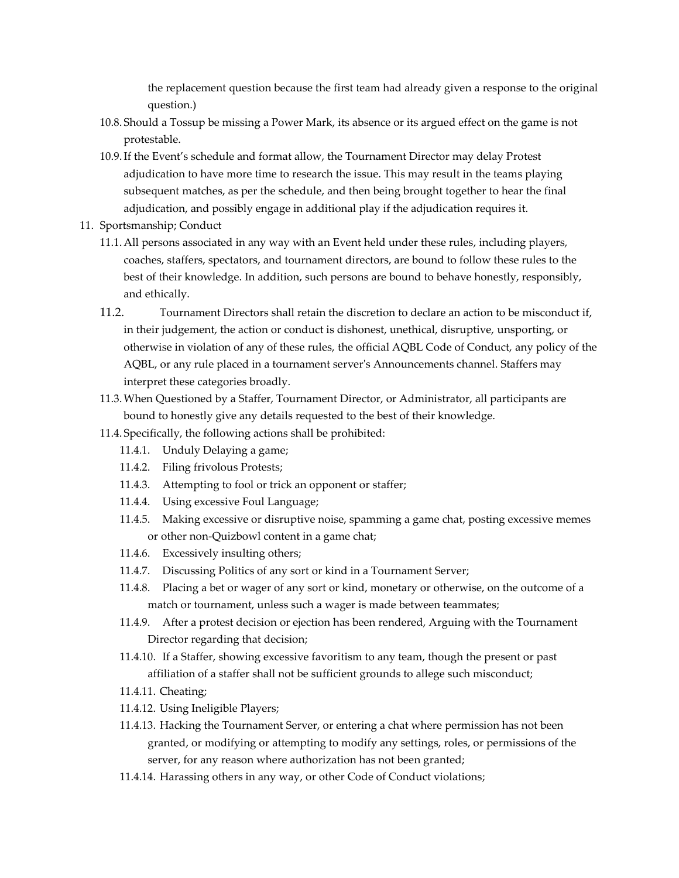the replacement question because the first team had already given a response to the original question.)

- 10.8. Should a Tossup be missing a Power Mark, its absence or its argued effect on the game is not protestable.
- 10.9.If the Event's schedule and format allow, the Tournament Director may delay Protest adjudication to have more time to research the issue. This may result in the teams playing subsequent matches, as per the schedule, and then being brought together to hear the final adjudication, and possibly engage in additional play if the adjudication requires it.
- 11. Sportsmanship; Conduct
	- 11.1.All persons associated in any way with an Event held under these rules, including players, coaches, staffers, spectators, and tournament directors, are bound to follow these rules to the best of their knowledge. In addition, such persons are bound to behave honestly, responsibly, and ethically.
	- 11.2. Tournament Directors shall retain the discretion to declare an action to be misconduct if, in their judgement, the action or conduct is dishonest, unethical, disruptive, unsporting, or otherwise in violation of any of these rules, the official AQBL Code of Conduct, any policy of the AQBL, or any rule placed in a tournament server's Announcements channel. Staffers may interpret these categories broadly.
	- 11.3.When Questioned by a Staffer, Tournament Director, or Administrator, all participants are bound to honestly give any details requested to the best of their knowledge.
	- 11.4. Specifically, the following actions shall be prohibited:
		- 11.4.1. Unduly Delaying a game;
		- 11.4.2. Filing frivolous Protests;
		- 11.4.3. Attempting to fool or trick an opponent or staffer;
		- 11.4.4. Using excessive Foul Language;
		- 11.4.5. Making excessive or disruptive noise, spamming a game chat, posting excessive memes or other non-Quizbowl content in a game chat;
		- 11.4.6. Excessively insulting others;
		- 11.4.7. Discussing Politics of any sort or kind in a Tournament Server;
		- 11.4.8. Placing a bet or wager of any sort or kind, monetary or otherwise, on the outcome of a match or tournament, unless such a wager is made between teammates;
		- 11.4.9. After a protest decision or ejection has been rendered, Arguing with the Tournament Director regarding that decision;
		- 11.4.10. If a Staffer, showing excessive favoritism to any team, though the present or past affiliation of a staffer shall not be sufficient grounds to allege such misconduct;
		- 11.4.11. Cheating;
		- 11.4.12. Using Ineligible Players;
		- 11.4.13. Hacking the Tournament Server, or entering a chat where permission has not been granted, or modifying or attempting to modify any settings, roles, or permissions of the server, for any reason where authorization has not been granted;
		- 11.4.14. Harassing others in any way, or other Code of Conduct violations;